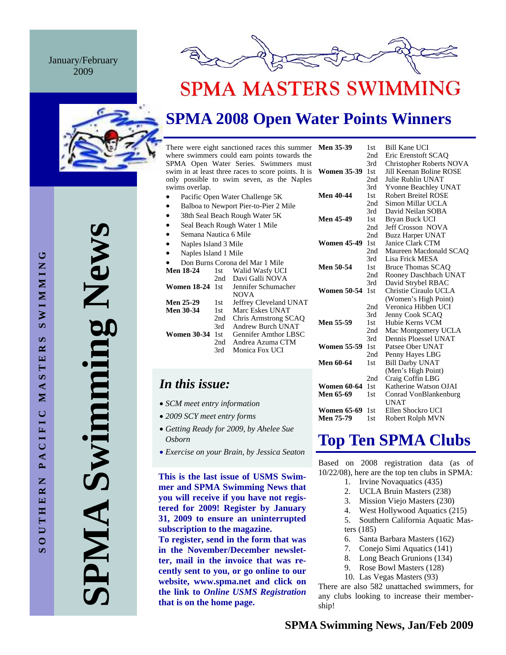January/February 2009



# **SPMA MASTERS SWIMMING**

# **SPMA 2008 Open Water Points Winners**

There were eight sanctioned races this summer M where swimmers could earn points towards the SPMA Open Water Series. Swimmers must swim in at least three races to score points. It is W only possible to swim seven, as the Naples swims overlap.

- Pacific Open Water Challenge 5K
- Balboa to Newport Pier-to-Pier 2 Mile
- 38th Seal Beach Rough Water 5K
- Seal Beach Rough Water 1 Mile
- Semana Nautica 6 Mile
- Naples Island 3 Mile
- Naples Island 1 Mile

|                        |      | Don Burns Corona del Mar 1 Mile |
|------------------------|------|---------------------------------|
| <b>Men 18-24</b>       | 1st  | Walid Wasfy UCI                 |
|                        | 2nd  | Davi Galli NOVA                 |
| <b>Women 18-24</b> 1st |      | Jennifer Schumacher             |
|                        |      | <b>NOVA</b>                     |
| Men 25-29              | 1st. | Jeffrey Cleveland UNAT          |
| <b>Men 30-34</b>       | 1st  | Marc Eskes UNAT                 |
|                        | 2nd  | Chris Armstrong SCAQ            |
|                        | 3rd  | Andrew Burch UNAT               |
| <b>Women 30-34</b>     | 1st  | Gennifer Amthor LBSC            |
|                        | 2nd  | Andrea Azuma CTM                |
|                        | 3rd  | Monica Fox UCI                  |

# *In this issue:*

- *SCM meet entry information*
- *2009 SCY meet entry forms*
- *Getting Ready for 2009, by Ahelee Sue Osborn*
- *Exercise on your Brain, by Jessica Seaton*

**This is the last issue of USMS Swimmer and SPMA Swimming News that you will receive if you have not registered for 2009! Register by January 31, 2009 to ensure an uninterrupted subscription to the magazine. To register, send in the form that was in the November/December newsletter, mail in the invoice that was recently sent to you, or go online to our website, www.spma.net and click on the link to** *Online USMS Registration*  **that is on the home page.** 

| <b>Men 35-39</b>   | 1st | Bill Kane UCI               |
|--------------------|-----|-----------------------------|
|                    | 2nd | Eric Erenstoft SCAO         |
|                    | 3rd | Christopher Roberts NOVA    |
| <b>Women 35-39</b> | 1st | Jill Keenan Boline ROSE     |
|                    | 2nd | Julie Ruhlin UNAT           |
|                    | 3rd | <b>Yvonne Beachley UNAT</b> |
| <b>Men 40-44</b>   | 1st | <b>Robert Breitel ROSE</b>  |
|                    | 2nd | Simon Millar UCLA           |
|                    | 3rd | David Neilan SOBA           |
| <b>Men 45-49</b>   | 1st | Bryan Buck UCI              |
|                    | 2nd | <b>Jeff Crosson NOVA</b>    |
|                    | 2nd | <b>Buzz Harper UNAT</b>     |
| <b>Women 45-49</b> | 1st | Janice Clark CTM            |
|                    | 2nd | Maureen Macdonald SCAO      |
|                    | 3rd | Lisa Frick MESA             |
| Men 50-54          | 1st | <b>Bruce Thomas SCAO</b>    |
|                    | 2nd | Rooney Daschbach UNAT       |
|                    | 3rd | David Strybel RBAC          |
| <b>Women 50-54</b> | 1st | Christie Ciraulo UCLA       |
|                    |     | (Women's High Point)        |
|                    | 2nd | Veronica Hibben UCI         |
|                    | 3rd | Jenny Cook SCAQ             |
| <b>Men 55-59</b>   | 1st | Hubie Kerns VCM             |
|                    | 2nd | Mac Montgomery UCLA         |
|                    | 3rd | Dennis Ploessel UNAT        |
| <b>Women 55-59</b> | 1st | Patsee Ober UNAT            |
|                    | 2nd | Penny Hayes LBG             |
| Men 60-64          | 1st | <b>Bill Darby UNAT</b>      |
|                    |     | (Men's High Point)          |
|                    | 2nd | Craig Coffin LBG            |
| <b>Women 60-64</b> | 1st | Katherine Watson OJAI       |
| Men 65-69          | 1st | Conrad VonBlankenburg       |
|                    |     | UNAT                        |
| <b>Women 65-69</b> | 1st | Ellen Shockro UCI           |
| Men 75-79          | 1st | Robert Rolph MVN            |

# **Top Ten SPMA Clubs**

Based on 2008 registration data (as of 10/22/08), here are the top ten clubs in SPMA:

- 1. Irvine Novaquatics (435)
- 2. UCLA Bruin Masters (238)
- 3. Mission Viejo Masters (230)
- 4. West Hollywood Aquatics (215)
- 5. Southern California Aquatic Masters (185)
- 6. Santa Barbara Masters (162)
- 7. Conejo Simi Aquatics (141)
- 8. Long Beach Grunions (134)
- 9. Rose Bowl Masters (128)
- 10. Las Vegas Masters (93)

There are also 582 unattached swimmers, for any clubs looking to increase their membership!

**SPMA Swimming News**  Swimming New PMA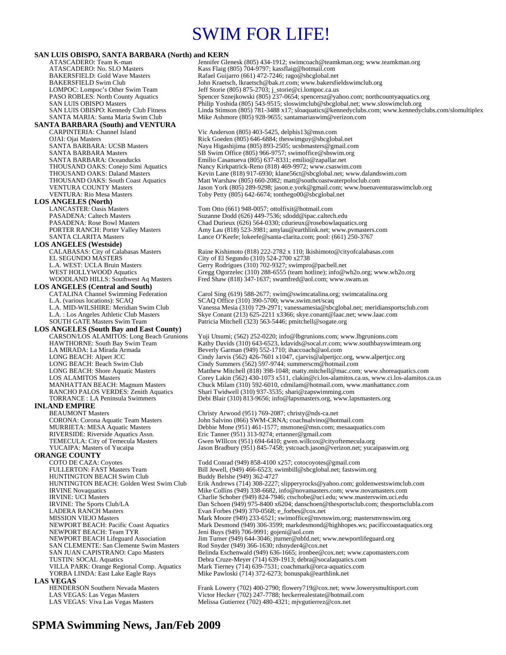# SWIM FOR LIFE!

**SAN LUIS OBISPO, SANTA BARBARA (North) and KERN** Jennifer Glenesk (805) 434-1912; swimcoach@teamkman.org; www.teamkman.org ATASCADERO: No. SLO Masters Kass Flaig (805) 704-9797; kassflaig @hotmail.com<br>BAKERSFIELD: Gold Wave Masters Rafael Guijarro (661) 472-7246; rago@sbcglobal.ne BAKERSFIELD: Gold Wave Masters Rafael Guijarro (661) 472-7246; rago@sbcglobal.net<br>BAKERSFIELD Swim Club John Kraetsch, lkraetsch@bak.rr.com; www.bakersfi BAKERSFIELD Swim Club John Kraetsch, lkraetsch@bak.rr.com; www.bakersfieldswimclub.org<br>
LOMPOC: Lompoc's Other Swim Team Jeff Storie (805) 875-2703; j\_storie@ci.lompoc.ca.us LOMPOC: Lompoc's Other Swim Team Jeff Storie (805) 875-2703; j\_storie@ci.lompoc.ca.us PASO ROBLES: North County Aquatics Spencer Sznejkowski (805) 237-0654; spencersz@yahoo.com; northcountyaquatics.org SAN LUIS OBISPO Masters Philip Yoshida (805) 543-9515; sloswimclub@sbcglobal.net; www.sloswimclub.org SAN LUIS OBISPO: Kennedy Club Fitness Linda Stimson (805) 781-3488 x17; sloaquatics@kennedyclubs.com; www.kennedyclubs.com/slomultiplex<br>SANTA MARIA: Santa Maria Swim Club Mike Ashmore (805) 928-9655; santamariaswim@verizon Mike Ashmore (805) 928-9655; santamariaswim@verizon.com **SANTA BARBARA (South) and VENTURA**  Vic Anderson (805) 403-5425, delphis13@msn.com OJAI: Ojai Masters **Rick Goeden (805) 646-6884; theswimguy@sbcglobal.net**<br>
SANTA BARBARA: UCSB Masters **Rick Coeden (805) 893-2505; ucsbmasters@gmail.co** SANTA BARBARA: UCSB Masters Naya Higashijima (805) 893-2505; ucsbmasters @gmail.com<br>SANTA BARBARA Masters SB Swim Office (805) 966-9757; swimoffice@sbswim.org SANTA BARBARA Masters SB Swim Office (805) 966-9757; swimoffice@sbswim.org<br>SANTA BARBARA: Oceanducks Emilio Casanueva (805) 637-8331; emilio@zapallar.net SANTA BARBARA: Oceanducks Emilio Casanueva (805) 637-8331; emilio@zapallar.net Nancy Kirkpatrick-Reno (818) 469-9972; www.csaswim.com THOUSAND OAKS: Daland Masters Kevin Lane (818) 917-6930; klane56ct@sbcglobal.net; www.dalandswim.com<br>THOUSAND OAKS: South Coast Aquatics Matt Warshaw (805) 660-2082; matt@southcoastwaterpoloclub.com THOUSAND OAKS: South Coast Aquatics Matt Warshaw (805) 660-2082; matt@southcoastwaterpoloclub.com<br>VENTURA COUNTY Masters Jason York (805) 289-9298; jason.e.york@gmail.com; www.buenave VENTURA COUNTY Masters Jason York (805) 289-9298; jason.e.york@gmail.com; www.buenaventuraswimclub.org<br>VENTURA: Rio Mesa Masters Toby Petty (805) 642-6674; tonthego00@sbcglobal.net Toby Petty  $(805)$  642-6674; tonthego $00@$ sbcglobal.net **LOS ANGELES (North)**  LANCASTER: Oasis Masters Tom Otto (661) 948-0057; ottolfixit@hotmail.com<br>PASADENA: Caltech Masters Suzanne Dodd (626) 449-7536; sdodd@ipac.caltecl PASADENA: Caltech Masters Suzanne Dodd (626) 449-7536; sdodd@ipac.caltech.edu<br>PASADENA: Rose Bowl Masters Chad Durieux (626) 564-0330; cdurieux @rosebowlaquat PASADENA: Rose Bowl Masters Chad Durieux (626) 564-0330; cdurieux @rosebowlaquatics.org<br>PORTER RANCH: Porter Valley Masters Amy Lau (818) 523-3981; amylau@earthlink.net; www.pymaste PORTER RANCH: Porter Valley Masters Amy Lau (818) 523-3981; amylau@earthlink.net; www.pvmasters.com<br>SANTA CLARITA Masters Lance O'Keefe; lokeefe@santa-clarita.com; pool: (661) 250-3767 Lance O'Keefe; lokeefe@santa-clarita.com; pool: (661) 250-3767 **LOS ANGELES (Westside)** CALABASAS: City of Calabasas Masters Raine Kishimoto (818) 222-2782 x 110; lkishimoto@cityofcalabasas.com<br>EL SEGUNDO MASTERS City of El Segundo (310) 524-2700 x2738 EL SEGUNDO MÁSTERS City of El Segundo (310) 524-2700 x2738<br>
L.A. WEST: UCLA Bruin Masters Gerry Rodrigues (310) 702-9327; swimpro L.A. WEST: UCLA Bruin Masters Gerry Rodrigues (310) 702-9327; swimpro@pacbell.net<br>WEST HOLLYWOOD Aquatics Gregg Ogorzelec (310) 288-6555 (team hotline); info@v WEST HOLLYWOOD Aquatics Gregg Ogorzelec (310) 288-6555 (team hotline); info@wh2o.org; www.wh2o.org<br>WOODLAND HILLS: Southwest Aq Masters Fred Shaw (818) 347-1637; swamfred@aol.com; www.swam.us Fred Shaw (818) 347-1637; swamfred@aol.com; www.swam.us **LOS ANGELES (Central and South)**  CATALINA Channel Swimming Federation Carol Sing (619) 588-2677; swim@swimcatalina.org; swimcatalina.org<br>L.A. (various locations): SCAQ<br>CAQ Office (310) 390-5700; www.swim.net/scaq L.A. (various locations): SCAQ<br>
L.A. MID-WILSHIRE: Meridian Swim Club Vanessa Mesia (310) 729-2971; vanessamesia@sbc L.A. MID-WILSHIRE: Meridian Swim Club Vanessa Mesia (310) 729-2971; vanessamesia@sbcglobal.net; meridiansportsclub.com<br>L.A. : Los Angeles Athletic Club Masters Skye Conant (213) 625-2211 x3366; skye.conant@laac.net; www.la L.A. : Los Angeles Athletic Club Masters Skye Conant (213) 625-2211 x 3366; skye conant@laac.net; www.laac.com<br>SOUTH GATE Masters Swim Team Patricia Mitchell (323) 563-5446; pmitchell@sogate.org Patricia Mitchell (323) 563-5446; pmitchell@sogate.org **LOS ANGELES (South Bay and East County)**  CARSON/LOS ALAMITOS: Long Beach Grunions Yuji Utsumi; (562) 252-0220; info@lbgrunions.com; www.lbgrunions.com HAWTHORNE: South Bay Swim Team Kathy Davids (310) 643-6523, kdavids@socal.rr.com; www.southbayswimteam.org<br>LA MIRADA: La Mirada Armada Beverly Garman (949) 552-1710; inaccoach@aol.com LA MIRADA: La Mirada Armada Beverly Garman (949) 552-1710; ihaccoach@aol.com LONG BEACH: Alpert JCC<br>
LONG BEACH: Beach Swim Club<br>
Cindy Summers (562) 597-9744; summerscm@hotmail.com LONG BEACH: Beach Swim Club Cindy Summers (562) 597-9744; summerscm@hotmail.com<br>CONG BEACH: Shore Aquatic Masters Matthew Mitchell (818) 398-1048; matty.mitchell@mac.com LONG BEACH: Shore Aquatic Masters Matthew Mitchell (818) 398-1048; matty.mitchell@mac.com; www.shoreaquatics.com<br>LOS ALAMITOS Masters Corey Lakin (562) 430-1073 x511, clakin@ci.los-alamitos.ca.us, www.ci.los-alamitos.c LOS ALAMITOS Masters Corey Lakin (562) 430-1073 x511, clakin@ci.los-alamitos.ca.us, www.ci.los-alamitos.ca.us<br>
MANHATTAN BEACH: Magnum Masters Chuck Milam (310) 592-6010, cdmilam@hotmail.com, www.manhattancc.com<br>
RANCHO PA Chuck Milam (310) 592-6010, cdmilam@hotmail.com, www.manhattancc.com RANCHO PALOS VERDES: Zenith Aquatics Shari Twidwell (310) 937-3535; shari@zapswimming.com<br>TORRANCE : LA Peninsula Swimmers Debi Blair (310) 813-9656; info@lapsmasters.org, www.la Debi Blair (310) 813-9656; info@lapsmasters.org, www.lapsmasters.org **INLAND EMPIRE**  BEAUMONT Masters Christy Arwood (951) 769-2087; christy @nds-ca.net<br>CORONA: Corona Aquatic Team Masters John Salvino (866) SWM-CRNA; coachsalvino@hot CORONA: Corona Aquatic Team Masters John Salvino (866) SWM-CRNA; coachsalvino@hotmail.com MURRIETA: MESA Aquatic Masters Debbie Mone (951) 461-1577; msmone@msn.com; mesaaquatics.com<br>RIVERSIDE: Riverside Aquatics Assn. Eric Tanner (951) 313-9274; ertanner@gmail.com RIVERSIDE: Riverside Aquatics Assn. Eric Tanner (951) 313-9274; ertanner@gmail.com<br>TEMECULA: City of Temecula Masters Gwen WIllcox (951) 694-6410; gwen.willcox @cit TEMECULA: City of Temecula Masters Gwen WIllcox (951) 694-6410; gwen.willcox @cityoftemecula.org<br>YUCAIPA: Masters of Yucaipa Jason Bradbury (951) 845-7458; ystcoach.jason @verizon.net; yuca Jason Bradbury (951) 845-7458; ystcoach.jason@verizon.net; yucaipaswim.org **ORANGE COUNTY**<br>COTO DE CAZA: Coyotes COTO DE CAZA: Coyotes Team Todd Conrad (949) 858-4100 x257; cotocoyotes@gmail.com<br>FULLERTON: FAST Masters Team Bill Jewell, (949) 466-6523; swimbill@sbcglobal.net; fastswi Bill Jewell, (949) 466-6523; swimbill@sbcglobal.net; fastswim.org<br>Buddy Belshe (949) 362-4727 HUNTINGTON BEACH Swim Club<br>HUNTINGTON BEACH: Golden West Swim Club HUNTINGTON BEACH: Golden West Swim Club Erik Andrews (714) 308-2227; slipperyrocks@yahoo.com; goldenwestswimclub.com<br>IRVINE Novaquatics Mike Collins (949) 338-6682, info@novamasters.com; www.novamasters.com IRVINE Novaquatics Mike Collins (949) 338-6682, info@novamasters.com; www.novamasters.com<br>IRVINE: UCI Masters<br>Charlie Schober (949) 824-7946; ctschobe@uci.edu; www.masters.wim.uci.edu IRVINE: UCI Masters Charlie Schober (949) 824-7946; ctschobe@uci.edu; www.masterswim.uci.edu<br>IRVINE: The Sports Club/LA Dan Schoen (949) 975-8400 x6204; danschoen@thesportsclub.com; thesportscl IRVINE: The Sports Club/LA Dan Schoen (949) 975-8400 x6204; danschoen@thesportsclub.com; thesportsclubla.com<br>
LADERA RANCH Masters Evan Forbes (949) 370-0568; e forbes@cox.net LADERA RANCH Masters Evan Forbes (949) 370-0568; e\_forbes @cox.net<br>MISSION VIEJO Masters Mark Moore (949) 233-6521; swimoffice@mvn Mark Moore (949) 233-6521; swimoffice@mvnswim.org; mastersmvnswim.org NEWPORT BEACH: Pacific Coast Aquatics Mark Desmond (949) 306-3599; markdesmond@highhopes.ws; pacificcoastaquatics.org NEWPORT BEACH: Team TYR<br>NEWPORT BEACH Lifeguard Association Jim Turner (949) 644-3046; jturner@nbfd.no NEWPORT BEACH Lifeguard Association Jim Turner (949) 644-3046; jturner@nbfd.net; www.newportlifeguard.org<br>SAN CLEMENTE: San Clemente Swim Masters Rod Snyder (949) 366-1630; rdsnyder4@cox.net SAN CLEMENTE: San Clemente Swim Masters Rod Snyder (949) 366-1630; rdsnyder4@cox.net<br>SAN JUAN CAPISTRANO: Capo Masters Belinda Eschenwald (949) 636-1665; ironbee@co Belinda Eschenwald (949) 636-1665; ironbee@cox.net; www.capomasters.com TUSTIN: SOCAL Aquatics Debra Cruze-Meyer (714) 639-1913; debra@socalaquatics.com Mark Tierney (714) 639-7531; coachmark@orca-aquatics.com YORBA LINDA: East Lake Eagle Rays Mike Pawloski (714) 372-6273; bonuspak@earthlink.net **LAS VEGAS**<br> **HENDERSON Southern Nevada Masters** Frank Lowery (702) 400-2790; flowery719@cox.net; www.lowerysmultisport.com LAS VEGAS: Las Vegas Masters Victor Hecker (702) 247-7788; heckerrealestate@hotmail.com<br>LAS VEGAS: Viva Las Vegas Masters Melissa Gutierrez (702) 480-4321; mjvgutierrez@cox.net Melissa Gutierrez (702) 480-4321; mjvgutierrez@cox.net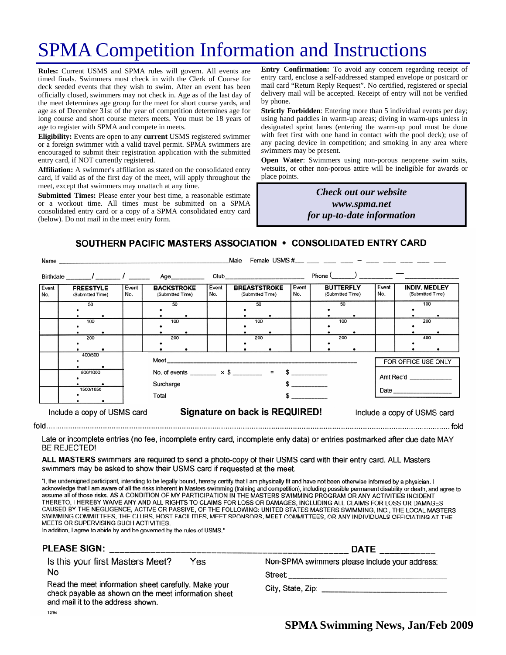# SPMA Competition Information and Instructions

**Rules:** Current USMS and SPMA rules will govern. All events are timed finals. Swimmers must check in with the Clerk of Course for deck seeded events that they wish to swim. After an event has been officially closed, swimmers may not check in. Age as of the last day of the meet determines age group for the meet for short course yards, and age as of December 31st of the year of competition determines age for long course and short course meters meets. You must be 18 years of age to register with SPMA and compete in meets.

**Eligibility:** Events are open to any **current** USMS registered swimmer or a foreign swimmer with a valid travel permit. SPMA swimmers are encouraged to submit their registration application with the submitted entry card, if NOT currently registered.

**Affiliation:** A swimmer's affiliation as stated on the consolidated entry card, if valid as of the first day of the meet, will apply throughout the meet, except that swimmers may unattach at any time.

**Submitted Times:** Please enter your best time, a reasonable estimate or a workout time. All times must be submitted on a SPMA consolidated entry card or a copy of a SPMA consolidated entry card (below). Do not mail in the meet entry form.

**Entry Confirmation:** To avoid any concern regarding receipt of entry card, enclose a self-addressed stamped envelope or postcard or mail card "Return Reply Request". No certified, registered or special delivery mail will be accepted. Receipt of entry will not be verified by phone.

**Strictly Forbidden**: Entering more than 5 individual events per day; using hand paddles in warm-up areas; diving in warm-ups unless in designated sprint lanes (entering the warm-up pool must be done with feet first with one hand in contact with the pool deck); use of any pacing device in competition; and smoking in any area where swimmers may be present.

**Open Water**: Swimmers using non-porous neoprene swim suits, wetsuits, or other non-porous attire will be ineligible for awards or place points.

> *Check out our website www.spma.net for up-to-date information*

SOUTHERN PACIFIC MASTERS ASSOCIATION • CONSOLIDATED ENTRY CARD

|                             | Female USMS $\#$ $-$<br>Male<br>Name |              |                                       |                                                                                                      |              |  |                                                                                                                                                                                                                                |                                  |                  |                  |              |  |                                          |
|-----------------------------|--------------------------------------|--------------|---------------------------------------|------------------------------------------------------------------------------------------------------|--------------|--|--------------------------------------------------------------------------------------------------------------------------------------------------------------------------------------------------------------------------------|----------------------------------|------------------|------------------|--------------|--|------------------------------------------|
|                             |                                      |              |                                       | Age__________                                                                                        |              |  | Club and the contract of the contract of the contract of the contract of the contract of the contract of the contract of the contract of the contract of the contract of the contract of the contract of the contract of the c |                                  | $Phone ($ $)$    |                  |              |  |                                          |
| Event<br>No.                | <b>FREESTYLE</b><br>(Submitted Time) | Event<br>No. | <b>BACKSTROKE</b><br>(Submitted Time) |                                                                                                      | Event<br>No. |  | <b>BREASTSTROKE</b><br>(Submitted Time)                                                                                                                                                                                        | Event<br>No.                     | <b>BUTTERFLY</b> | (Submitted Time) | Event<br>No. |  | <b>INDIV. MEDLEY</b><br>(Submitted Time) |
|                             | 50<br>100                            |              | 50<br>100                             |                                                                                                      |              |  | 50<br>100                                                                                                                                                                                                                      |                                  |                  | 50<br>100        |              |  | 100<br>200                               |
|                             | 200                                  |              | 200                                   |                                                                                                      |              |  | 200                                                                                                                                                                                                                            |                                  |                  | 200              |              |  | 400                                      |
|                             | 400/500<br>800/1000<br>1500/1650     |              | Total                                 | Meet ____________________<br>No. of events ________ $\times$ \$ ________ = \$ _________<br>Surcharge |              |  |                                                                                                                                                                                                                                | FOR OFFICE USE ONLY<br>Amt Rec'd |                  |                  |              |  |                                          |
| Include a copy of USMS card |                                      |              |                                       | Signature on back is REQUIRED!<br>Include a copy of USMS card                                        |              |  |                                                                                                                                                                                                                                |                                  |                  |                  |              |  |                                          |

Late or incomplete entries (no fee, incomplete entry card, incomplete enty data) or entries postmarked after due date MAY **BE REJECTED!** 

ALL MASTERS swimmers are required to send a photo-copy of their USMS card with their entry card. ALL Masters swimmers may be asked to show their USMS card if requested at the meet.

"I, the undersigned participant, intending to be legally bound, hereby certify that I am physically fit and have not been otherwise informed by a physician. I acknowledge that I am aware of all the risks inherent in Masters swimming (training and competition), including possible permanent disability or death, and agree to assume all of those risks. AS A CONDITION OF MY PARTICIPATION IN THE MASTERS SWIMMING PROGRAM OR ANY ACTIVITIES INCIDENT THERETO, I HEREBY WAIVE ANY AND ALL RIGHTS TO CLAIMS FOR LOSS OR DAMAGES, INCLUDING ALL CLAIMS FOR LOSS OR DAMAGES CAUSED BY THE NEGLIGENCE, ACTIVE OR PASSIVE, OF THE FOLLOWING: UNITED STATES MASTERS SWIMMING, INC., THE LOCAL MASTERS SWIMMING COMMITTEES, THE CLUBS, HOST FACILITIES, MEET SPONSORS, MEET COMMITTEES, OR ANY INDIVIDUALS OFFICIATING AT THE MEETS OR SUPERVISING SUCH ACTIVITIES.

In addition, I agree to abide by and be governed by the rules of USMS."

### PLEASE SIGN:

Is this your first Masters Meet? Yes No

Read the meet information sheet carefully. Make your check payable as shown on the meet information sheet and mail it to the address shown. 12/94

|                                                | <b>DATE</b> |  |  |
|------------------------------------------------|-------------|--|--|
| Non-SPMA swimmers please include your address: |             |  |  |

Street:

City, State, Zip: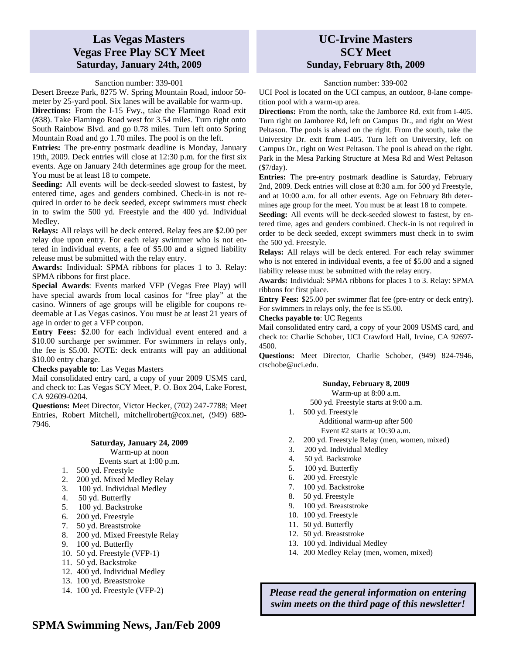## **Las Vegas Masters Vegas Free Play SCY Meet Saturday, January 24th, 2009**

### Sanction number: 339-001

Desert Breeze Park, 8275 W. Spring Mountain Road, indoor 50 meter by 25-yard pool. Six lanes will be available for warm-up.

**Directions:** From the I-15 Fwy., take the Flamingo Road exit (#38). Take Flamingo Road west for 3.54 miles. Turn right onto South Rainbow Blvd. and go 0.78 miles. Turn left onto Spring Mountain Road and go 1.70 miles. The pool is on the left.

**Entries:** The pre-entry postmark deadline is Monday, January 19th, 2009. Deck entries will close at 12:30 p.m. for the first six events. Age on January 24th determines age group for the meet. You must be at least 18 to compete.

**Seeding:** All events will be deck-seeded slowest to fastest, by entered time, ages and genders combined. Check-in is not required in order to be deck seeded, except swimmers must check in to swim the 500 yd. Freestyle and the 400 yd. Individual Medley.

**Relays:** All relays will be deck entered. Relay fees are \$2.00 per relay due upon entry. For each relay swimmer who is not entered in individual events, a fee of \$5.00 and a signed liability release must be submitted with the relay entry.

**Awards:** Individual: SPMA ribbons for places 1 to 3. Relay: SPMA ribbons for first place.

**Special Awards**: Events marked VFP (Vegas Free Play) will have special awards from local casinos for "free play" at the casino. Winners of age groups will be eligible for coupons redeemable at Las Vegas casinos. You must be at least 21 years of age in order to get a VFP coupon.

**Entry Fees:** \$2.00 for each individual event entered and a \$10.00 surcharge per swimmer. For swimmers in relays only, the fee is \$5.00. NOTE: deck entrants will pay an additional \$10.00 entry charge.

#### **Checks payable to**: Las Vegas Masters

Mail consolidated entry card, a copy of your 2009 USMS card, and check to: Las Vegas SCY Meet, P. O. Box 204, Lake Forest, CA 92609-0204.

**Questions:** Meet Director, Victor Hecker, (702) 247-7788; Meet Entries, Robert Mitchell, mitchellrobert@cox.net, (949) 689- 7946.

### **Saturday, January 24, 2009**

Warm-up at noon

- Events start at 1:00 p.m.
- 1. 500 yd. Freestyle
- 2. 200 yd. Mixed Medley Relay
- 3. 100 yd. Individual Medley
- 4. 50 yd. Butterfly
- 5. 100 yd. Backstroke
- 6. 200 yd. Freestyle
- 7. 50 yd. Breaststroke
- 8. 200 yd. Mixed Freestyle Relay
- 9. 100 yd. Butterfly
- 10. 50 yd. Freestyle (VFP-1)
- 11. 50 yd. Backstroke
- 12. 400 yd. Individual Medley
- 13. 100 yd. Breaststroke
- 14. 100 yd. Freestyle (VFP-2)

## **UC-Irvine Masters SCY Meet Sunday, February 8th, 2009**

### Sanction number: 339-002

UCI Pool is located on the UCI campus, an outdoor, 8-lane competition pool with a warm-up area.

**Directions:** From the north, take the Jamboree Rd. exit from I-405. Turn right on Jamboree Rd, left on Campus Dr., and right on West Peltason. The pools is ahead on the right. From the south, take the University Dr. exit from I-405. Turn left on University, left on Campus Dr., right on West Peltason. The pool is ahead on the right. Park in the Mesa Parking Structure at Mesa Rd and West Peltason (\$7/day).

**Entries:** The pre-entry postmark deadline is Saturday, February 2nd, 2009. Deck entries will close at 8:30 a.m. for 500 yd Freestyle, and at 10:00 a.m. for all other events. Age on February 8th determines age group for the meet. You must be at least 18 to compete.

**Seeding:** All events will be deck-seeded slowest to fastest, by entered time, ages and genders combined. Check-in is not required in order to be deck seeded, except swimmers must check in to swim the 500 yd. Freestyle.

**Relays:** All relays will be deck entered. For each relay swimmer who is not entered in individual events, a fee of \$5.00 and a signed liability release must be submitted with the relay entry.

**Awards:** Individual: SPMA ribbons for places 1 to 3. Relay: SPMA ribbons for first place.

**Entry Fees:** \$25.00 per swimmer flat fee (pre-entry or deck entry). For swimmers in relays only, the fee is \$5.00.

#### **Checks payable to**: UC Regents

Mail consolidated entry card, a copy of your 2009 USMS card, and check to: Charlie Schober, UCI Crawford Hall, Irvine, CA 92697- 4500.

**Questions:** Meet Director, Charlie Schober, (949) 824-7946, ctschobe@uci.edu.

### **Sunday, February 8, 2009**

Warm-up at 8:00 a.m.

500 yd. Freestyle starts at 9:00 a.m.

1. 500 yd. Freestyle

Additional warm-up after 500 Event #2 starts at 10:30 a.m.

- 2. 200 yd. Freestyle Relay (men, women, mixed)
- 3. 200 yd. Individual Medley
- 4. 50 yd. Backstroke
- 5. 100 yd. Butterfly
- 6. 200 yd. Freestyle
- 7. 100 yd. Backstroke
- 8. 50 yd. Freestyle
- 9. 100 yd. Breaststroke
- 10. 100 yd. Freestyle
- 11. 50 yd. Butterfly
- 12. 50 yd. Breaststroke
- 13. 100 yd. Individual Medley
- 14. 200 Medley Relay (men, women, mixed)

*Please read the general information on entering swim meets on the third page of this newsletter!*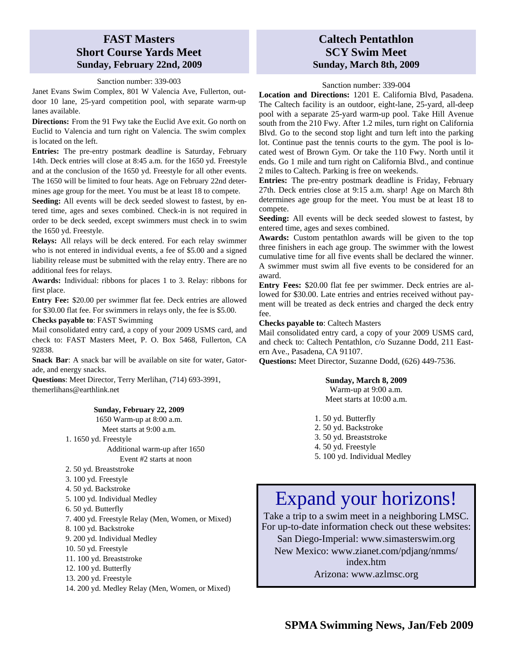# **FAST Masters Short Course Yards Meet Sunday, February 22nd, 2009**

Sanction number: 339-003

Janet Evans Swim Complex, 801 W Valencia Ave, Fullerton, outdoor 10 lane, 25-yard competition pool, with separate warm-up lanes available.

**Directions:** From the 91 Fwy take the Euclid Ave exit. Go north on Euclid to Valencia and turn right on Valencia. The swim complex is located on the left.

**Entries:** The pre-entry postmark deadline is Saturday, February 14th. Deck entries will close at 8:45 a.m. for the 1650 yd. Freestyle and at the conclusion of the 1650 yd. Freestyle for all other events. The 1650 will be limited to four heats. Age on February 22nd determines age group for the meet. You must be at least 18 to compete.

**Seeding:** All events will be deck seeded slowest to fastest, by entered time, ages and sexes combined. Check-in is not required in order to be deck seeded, except swimmers must check in to swim the 1650 yd. Freestyle.

**Relays:** All relays will be deck entered. For each relay swimmer who is not entered in individual events, a fee of \$5.00 and a signed liability release must be submitted with the relay entry. There are no additional fees for relays.

**Awards:** Individual: ribbons for places 1 to 3. Relay: ribbons for first place.

**Entry Fee:** \$20.00 per swimmer flat fee. Deck entries are allowed for \$30.00 flat fee. For swimmers in relays only, the fee is \$5.00.

**Checks payable to**: FAST Swimming

Mail consolidated entry card, a copy of your 2009 USMS card, and check to: FAST Masters Meet, P. O. Box 5468, Fullerton, CA 92838.

**Snack Bar**: A snack bar will be available on site for water, Gatorade, and energy snacks.

**Questions**: Meet Director, Terry Merlihan, (714) 693-3991, themerlihans@earthlink.net

### **Sunday, February 22, 2009**

1650 Warm-up at 8:00 a.m. Meet starts at 9:00 a.m.

1. 1650 yd. Freestyle

Additional warm-up after 1650 Event #2 starts at noon

- 2. 50 yd. Breaststroke
- 3. 100 yd. Freestyle
- 4. 50 yd. Backstroke
- 5. 100 yd. Individual Medley
- 6. 50 yd. Butterfly
- 7. 400 yd. Freestyle Relay (Men, Women, or Mixed)
- 8. 100 yd. Backstroke
- 9. 200 yd. Individual Medley
- 10. 50 yd. Freestyle
- 11. 100 yd. Breaststroke
- 12. 100 yd. Butterfly
- 13. 200 yd. Freestyle
- 14. 200 yd. Medley Relay (Men, Women, or Mixed)

# **Caltech Pentathlon SCY Swim Meet Sunday, March 8th, 2009**

### Sanction number: 339-004

**Location and Directions:** 1201 E. California Blvd, Pasadena. The Caltech facility is an outdoor, eight-lane, 25-yard, all-deep pool with a separate 25-yard warm-up pool. Take Hill Avenue south from the 210 Fwy. After 1.2 miles, turn right on California Blvd. Go to the second stop light and turn left into the parking lot. Continue past the tennis courts to the gym. The pool is located west of Brown Gym. Or take the 110 Fwy. North until it ends. Go 1 mile and turn right on California Blvd., and continue 2 miles to Caltech. Parking is free on weekends.

**Entries:** The pre-entry postmark deadline is Friday, February 27th. Deck entries close at 9:15 a.m. sharp! Age on March 8th determines age group for the meet. You must be at least 18 to compete.

**Seeding:** All events will be deck seeded slowest to fastest, by entered time, ages and sexes combined.

**Awards:** Custom pentathlon awards will be given to the top three finishers in each age group. The swimmer with the lowest cumulative time for all five events shall be declared the winner. A swimmer must swim all five events to be considered for an award.

**Entry Fees:** \$20.00 flat fee per swimmer. Deck entries are allowed for \$30.00. Late entries and entries received without payment will be treated as deck entries and charged the deck entry fee.

**Checks payable to**: Caltech Masters

Mail consolidated entry card, a copy of your 2009 USMS card, and check to: Caltech Pentathlon, c/o Suzanne Dodd, 211 Eastern Ave., Pasadena, CA 91107.

**Questions:** Meet Director, Suzanne Dodd, (626) 449-7536.

### **Sunday, March 8, 2009**

Warm-up at 9:00 a.m. Meet starts at 10:00 a.m.

- 1. 50 yd. Butterfly
- 2. 50 yd. Backstroke
- 3. 50 yd. Breaststroke
- 4. 50 yd. Freestyle
- 5. 100 yd. Individual Medley

# Expand your horizons!

Take a trip to a swim meet in a neighboring LMSC. For up-to-date information check out these websites:

San Diego-Imperial: www.simasterswim.org

New Mexico: www.zianet.com/pdjang/nmms/ index.htm

Arizona: www.azlmsc.org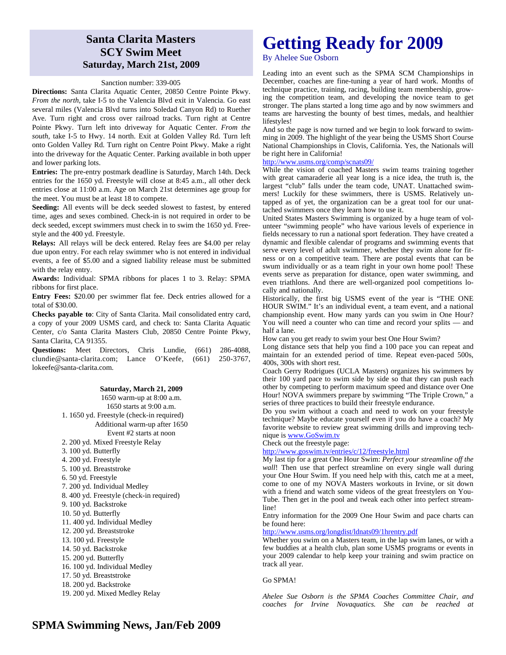# **Santa Clarita Masters SCY Swim Meet Saturday, March 21st, 2009**

#### Sanction number: 339-005

**Directions:** Santa Clarita Aquatic Center, 20850 Centre Pointe Pkwy. *From the north*, take I-5 to the Valencia Blvd exit in Valencia. Go east several miles (Valencia Blvd turns into Soledad Canyon Rd) to Ruether Ave. Turn right and cross over railroad tracks. Turn right at Centre Pointe Pkwy. Turn left into driveway for Aquatic Center. *From the south*, take I-5 to Hwy. 14 north. Exit at Golden Valley Rd. Turn left onto Golden Valley Rd. Turn right on Centre Point Pkwy. Make a right into the driveway for the Aquatic Center. Parking available in both upper and lower parking lots.

**Entries:** The pre-entry postmark deadline is Saturday, March 14th. Deck entries for the 1650 yd. Freestyle will close at 8:45 a.m., all other deck entries close at 11:00 a.m. Age on March 21st determines age group for the meet. You must be at least 18 to compete.

**Seeding:** All events will be deck seeded slowest to fastest, by entered time, ages and sexes combined. Check-in is not required in order to be deck seeded, except swimmers must check in to swim the 1650 yd. Freestyle and the 400 yd. Freestyle.

**Relays:** All relays will be deck entered. Relay fees are \$4.00 per relay due upon entry. For each relay swimmer who is not entered in individual events, a fee of \$5.00 and a signed liability release must be submitted with the relay entry.

**Awards:** Individual: SPMA ribbons for places 1 to 3. Relay: SPMA ribbons for first place.

**Entry Fees:** \$20.00 per swimmer flat fee. Deck entries allowed for a total of \$30.00.

**Checks payable to**: City of Santa Clarita. Mail consolidated entry card, a copy of your 2009 USMS card, and check to: Santa Clarita Aquatic Center, c/o Santa Clarita Masters Club, 20850 Centre Pointe Pkwy, Santa Clarita, CA 91355.

**Questions:** Meet Directors, Chris Lundie, (661) 286-4088, clundie@santa-clarita.com; Lance O'Keefe, (661) 250-3767, lokeefe@santa-clarita.com.

**Saturday, March 21, 2009** 

1650 warm-up at 8:00 a.m. 1650 starts at 9:00 a.m. 1. 1650 yd. Freestyle (check-in required) Additional warm-up after 1650

Event #2 starts at noon

- 2. 200 yd. Mixed Freestyle Relay
- 3. 100 yd. Butterfly
- 4. 200 yd. Freestyle
- 5. 100 yd. Breaststroke
- 6. 50 yd. Freestyle
- 7. 200 yd. Individual Medley
- 8. 400 yd. Freestyle (check-in required)
- 9. 100 yd. Backstroke
- 10. 50 yd. Butterfly
- 11. 400 yd. Individual Medley
- 12. 200 yd. Breaststroke
- 13. 100 yd. Freestyle
- 14. 50 yd. Backstroke
- 15. 200 yd. Butterfly
- 16. 100 yd. Individual Medley
- 17. 50 yd. Breaststroke
- 18. 200 yd. Backstroke
- 19. 200 yd. Mixed Medley Relay

# **Getting Ready for 2009**

By Ahelee Sue Osborn

Leading into an event such as the SPMA SCM Championships in December, coaches are fine-tuning a year of hard work. Months of technique practice, training, racing, building team membership, growing the competition team, and developing the novice team to get stronger. The plans started a long time ago and by now swimmers and teams are harvesting the bounty of best times, medals, and healthier lifestyles!

And so the page is now turned and we begin to look forward to swimming in 2009. The highlight of the year being the USMS Short Course National Championships in Clovis, California. Yes, the Nationals will be right here in California!

### http://www.usms.org/comp/scnats09/

While the vision of coached Masters swim teams training together with great camaraderie all year long is a nice idea, the truth is, the largest "club" falls under the team code, UNAT. Unattached swimmers! Luckily for these swimmers, there is USMS. Relatively untapped as of yet, the organization can be a great tool for our unattached swimmers once they learn how to use it.

United States Masters Swimming is organized by a huge team of volunteer "swimming people" who have various levels of experience in fields necessary to run a national sport federation. They have created a dynamic and flexible calendar of programs and swimming events that serve every level of adult swimmer, whether they swim alone for fitness or on a competitive team. There are postal events that can be swum individually or as a team right in your own home pool! These events serve as preparation for distance, open water swimming, and even triathlons. And there are well-organized pool competitions locally and nationally.

Historically, the first big USMS event of the year is "THE ONE HOUR SWIM." It's an individual event, a team event, and a national championship event. How many yards can you swim in One Hour? You will need a counter who can time and record your splits — and half a lane.

How can you get ready to swim your best One Hour Swim?

Long distance sets that help you find a 100 pace you can repeat and maintain for an extended period of time. Repeat even-paced 500s, 400s, 300s with short rest.

Coach Gerry Rodrigues (UCLA Masters) organizes his swimmers by their 100 yard pace to swim side by side so that they can push each other by competing to perform maximum speed and distance over One Hour! NOVA swimmers prepare by swimming "The Triple Crown," a series of three practices to build their freestyle endurance.

Do you swim without a coach and need to work on your freestyle technique? Maybe educate yourself even if you do have a coach? My favorite website to review great swimming drills and improving technique is www.GoSwim.tv

Check out the freestyle page:

#### http://www.goswim.tv/entries/c/12/freestyle.html

My last tip for a great One Hour Swim: *Perfect your streamline off the wall*! Then use that perfect streamline on every single wall during your One Hour Swim. If you need help with this, catch me at a meet, come to one of my NOVA Masters workouts in Irvine, or sit down with a friend and watch some videos of the great freestylers on You-Tube. Then get in the pool and tweak each other into perfect streamline!

Entry information for the 2009 One Hour Swim and pace charts can be found here:

http://www.usms.org/longdist/ldnats09/1hrentry.pdf

Whether you swim on a Masters team, in the lap swim lanes, or with a few buddies at a health club, plan some USMS programs or events in your 2009 calendar to help keep your training and swim practice on track all year.

### Go SPMA!

*Ahelee Sue Osborn is the SPMA Coaches Committee Chair, and coaches for Irvine Novaquatics. She can be reached at*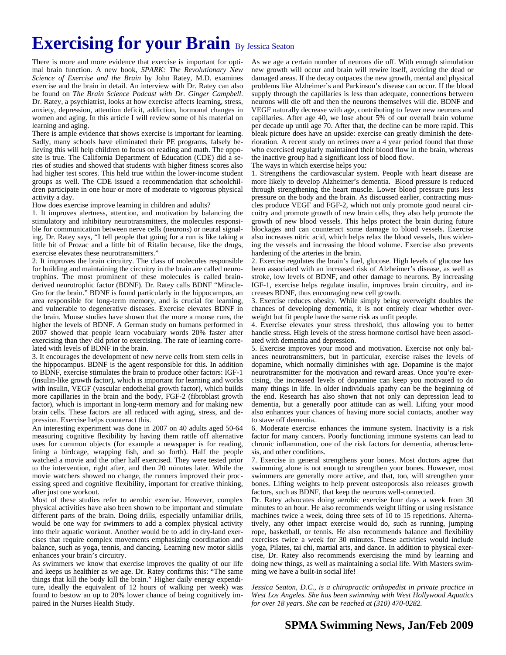# **Exercising for your Brain By Jessica Seaton**

There is more and more evidence that exercise is important for optimal brain function. A new book, *SPARK: The Revolutionary New Science of Exercise and the Brain* by John Ratey, M.D. examines exercise and the brain in detail. An interview with Dr. Ratey can also be found on *The Brain Science Podcast with Dr. Ginger Campbell*. Dr. Ratey, a psychiatrist, looks at how exercise affects learning, stress, anxiety, depression, attention deficit, addiction, hormonal changes in women and aging. In this article I will review some of his material on learning and aging.

There is ample evidence that shows exercise is important for learning. Sadly, many schools have eliminated their PE programs, falsely believing this will help children to focus on reading and math. The opposite is true. The California Department of Education (CDE) did a series of studies and showed that students with higher fitness scores also had higher test scores. This held true within the lower-income student groups as well. The CDE issued a recommendation that schoolchildren participate in one hour or more of moderate to vigorous physical activity a day.

How does exercise improve learning in children and adults?

1. It improves alertness, attention, and motivation by balancing the stimulatory and inhibitory neurotransmitters, the molecules responsible for communication between nerve cells (neurons) or neural signaling. Dr. Ratey says, "I tell people that going for a run is like taking a little bit of Prozac and a little bit of Ritalin because, like the drugs, exercise elevates these neurotransmitters."

2. It improves the brain circuitry. The class of molecules responsible for building and maintaining the circuitry in the brain are called neurotrophins. The most prominent of these molecules is called brainderived neurotrophic factor (BDNF). Dr. Ratey calls BDNF "Miracle-Gro for the brain." BDNF is found particularly in the hippocampus, an area responsible for long-term memory, and is crucial for learning, and vulnerable to degenerative diseases. Exercise elevates BDNF in the brain. Mouse studies have shown that the more a mouse runs, the higher the levels of BDNF. A German study on humans performed in 2007 showed that people learn vocabulary words 20% faster after exercising than they did prior to exercising. The rate of learning correlated with levels of BDNF in the brain.

3. It encourages the development of new nerve cells from stem cells in the hippocampus. BDNF is the agent responsible for this. In addition to BDNF, exercise stimulates the brain to produce other factors: IGF-1 (insulin-like growth factor), which is important for learning and works with insulin, VEGF (vascular endothelial growth factor), which builds more capillaries in the brain and the body, FGF-2 (fibroblast growth factor), which is important in long-term memory and for making new brain cells. These factors are all reduced with aging, stress, and depression. Exercise helps counteract this.

An interesting experiment was done in 2007 on 40 adults aged 50-64 measuring cognitive flexibility by having them rattle off alternative uses for common objects (for example a newspaper is for reading, lining a birdcage, wrapping fish, and so forth). Half the people watched a movie and the other half exercised. They were tested prior to the intervention, right after, and then 20 minutes later. While the movie watchers showed no change, the runners improved their processing speed and cognitive flexibility, important for creative thinking, after just one workout.

Most of these studies refer to aerobic exercise. However, complex physical activities have also been shown to be important and stimulate different parts of the brain. Doing drills, especially unfamiliar drills, would be one way for swimmers to add a complex physical activity into their aquatic workout. Another would be to add in dry-land exercises that require complex movements emphasizing coordination and balance, such as yoga, tennis, and dancing. Learning new motor skills enhances your brain's circuitry.

As swimmers we know that exercise improves the quality of our life and keeps us healthier as we age. Dr. Ratey confirms this: "The same things that kill the body kill the brain." Higher daily energy expenditure, ideally the equivalent of 12 hours of walking per week) was found to bestow an up to 20% lower chance of being cognitively impaired in the Nurses Health Study.

As we age a certain number of neurons die off. With enough stimulation new growth will occur and brain will rewire itself, avoiding the dead or damaged areas. If the decay outpaces the new growth, mental and physical problems like Alzheimer's and Parkinson's disease can occur. If the blood supply through the capillaries is less than adequate, connections between neurons will die off and then the neurons themselves will die. BDNF and VEGF naturally decrease with age, contributing to fewer new neurons and capillaries. After age 40, we lose about 5% of our overall brain volume per decade up until age 70. After that, the decline can be more rapid. This bleak picture does have an upside: exercise can greatly diminish the deterioration. A recent study on retirees over a 4 year period found that those who exercised regularly maintained their blood flow in the brain, whereas the inactive group had a significant loss of blood flow.

The ways in which exercise helps you:

1. Strengthens the cardiovascular system. People with heart disease are more likely to develop Alzheimer's dementia. Blood pressure is reduced through strengthening the heart muscle. Lower blood pressure puts less pressure on the body and the brain. As discussed earlier, contracting muscles produce VEGF and FGF-2, which not only promote good neural circuitry and promote growth of new brain cells, they also help promote the growth of new blood vessels. This helps protect the brain during future blockages and can counteract some damage to blood vessels. Exercise also increases nitric acid, which helps relax the blood vessels, thus widening the vessels and increasing the blood volume. Exercise also prevents hardening of the arteries in the brain.

2. Exercise regulates the brain's fuel, glucose. High levels of glucose has been associated with an increased risk of Alzheimer's disease, as well as stroke, low levels of BDNF, and other damage to neurons. By increasing IGF-1, exercise helps regulate insulin, improves brain circuitry, and increases BDNF, thus encouraging new cell growth.

3. Exercise reduces obesity. While simply being overweight doubles the chances of developing dementia, it is not entirely clear whether overweight but fit people have the same risk as unfit people.

4. Exercise elevates your stress threshold, thus allowing you to better handle stress. High levels of the stress hormone cortisol have been associated with dementia and depression.

5. Exercise improves your mood and motivation. Exercise not only balances neurotransmitters, but in particular, exercise raises the levels of dopamine, which normally diminishes with age. Dopamine is the major neurotransmitter for the motivation and reward areas. Once you're exercising, the increased levels of dopamine can keep you motivated to do many things in life. In older individuals apathy can be the beginning of the end. Research has also shown that not only can depression lead to dementia, but a generally poor attitude can as well. Lifting your mood also enhances your chances of having more social contacts, another way to stave off dementia.

6. Moderate exercise enhances the immune system. Inactivity is a risk factor for many cancers. Poorly functioning immune systems can lead to chronic inflammation, one of the risk factors for dementia, atherosclerosis, and other conditions.

7. Exercise in general strengthens your bones. Most doctors agree that swimming alone is not enough to strengthen your bones. However, most swimmers are generally more active, and that, too, will strengthen your bones. Lifting weights to help prevent osteoporosis also releases growth factors, such as BDNF, that keep the neurons well-connected.

Dr. Ratey advocates doing aerobic exercise four days a week from 30 minutes to an hour. He also recommends weight lifting or using resistance machines twice a week, doing three sets of 10 to 15 repetitions. Alternatively, any other impact exercise would do, such as running, jumping rope, basketball, or tennis. He also recommends balance and flexibility exercises twice a week for 30 minutes. These activities would include yoga, Pilates, tai chi, martial arts, and dance. In addition to physical exercise, Dr. Ratey also recommends exercising the mind by learning and doing new things, as well as maintaining a social life. With Masters swimming we have a built-in social life!

*Jessica Seaton, D.C., is a chiropractic orthopedist in private practice in West Los Angeles. She has been swimming with West Hollywood Aquatics for over 18 years. She can be reached at (310) 470-0282.*